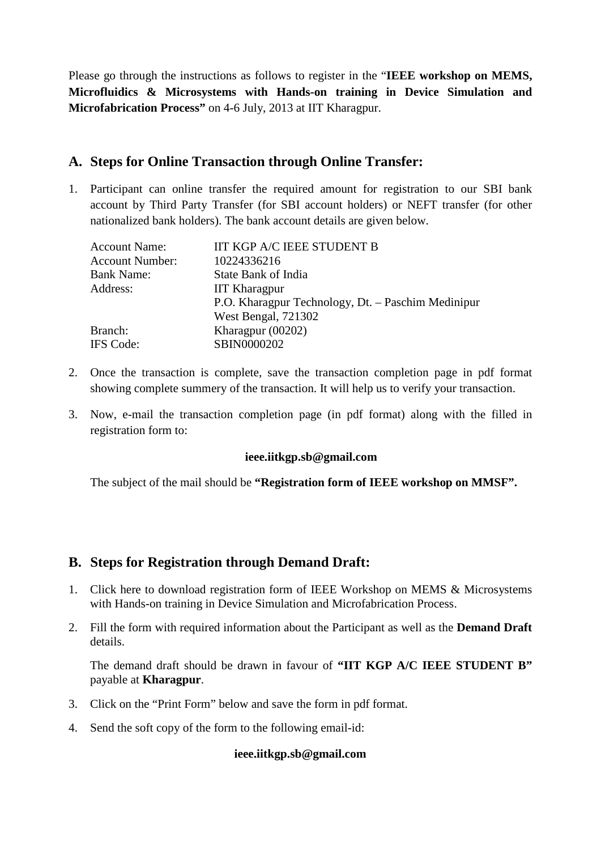Please go through the instructions as follows to register in the "**IEEE workshop on MEMS, Microfluidics & Microsystems with Hands-on training in Device Simulation and Microfabrication Process"** on 4-6 July, 2013 at IIT Kharagpur.

## **A. Steps for Online Transaction through Online Transfer:**

1. Participant can online transfer the required amount for registration to our SBI bank account by Third Party Transfer (for SBI account holders) or NEFT transfer (for other nationalized bank holders). The bank account details are given below.

| <b>IIT KGP A/C IEEE STUDENT B</b>                  |
|----------------------------------------------------|
| 10224336216                                        |
| State Bank of India                                |
| <b>IIT Kharagpur</b>                               |
| P.O. Kharagpur Technology, Dt. - Paschim Medinipur |
| West Bengal, 721302                                |
| Kharagpur $(00202)$                                |
| SBIN0000202                                        |
|                                                    |

- 2. Once the transaction is complete, save the transaction completion page in pdf format showing complete summery of the transaction. It will help us to verify your transaction.
- 3. Now, e-mail the transaction completion page (in pdf format) along with the filled in registration form to:

## **ieee.iitkgp.sb@gmail.com**

The subject of the mail should be **"Registration form of IEEE workshop on MMSF".**

## **B. Steps for Registration through Demand Draft:**

- 1. Click here to download registration form of IEEE Workshop on MEMS & Microsystems with Hands-on training in Device Simulation and Microfabrication Process.
- 2. Fill the form with required information about the Participant as well as the **Demand Draft** details.

The demand draft should be drawn in favour of **"IIT KGP A/C IEEE STUDENT B"** payable at **Kharagpur**.

- 3. Click on the "Print Form" below and save the form in pdf format.
- 4. Send the soft copy of the form to the following email-id:

## **ieee.iitkgp.sb@gmail.com**